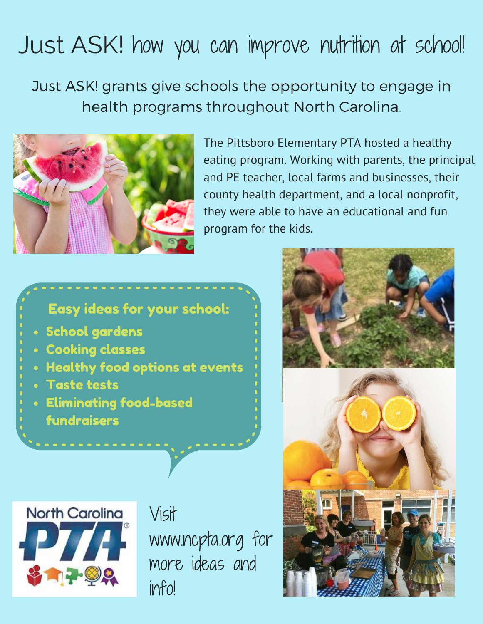## Just ASK! how you can improve nutrition at school!

Just ASK! grants give schools the opportunity to engage in health programs throughout North Carolina.



The Pittsboro Elementary PTA hosted a healthy eating program. Working with parents, the principal and PE teacher, local farms and businesses, their county health department, and a local nonprofit, they were able to have an educational and fun program for the kids.

## Easy ideas for your school:

- School gardens
- **Cooking classes**
- Healthy food options at events
- Taste tests
- Eliminating food-based fundraisers



Visit www.ncpta.org for more ideas and info!